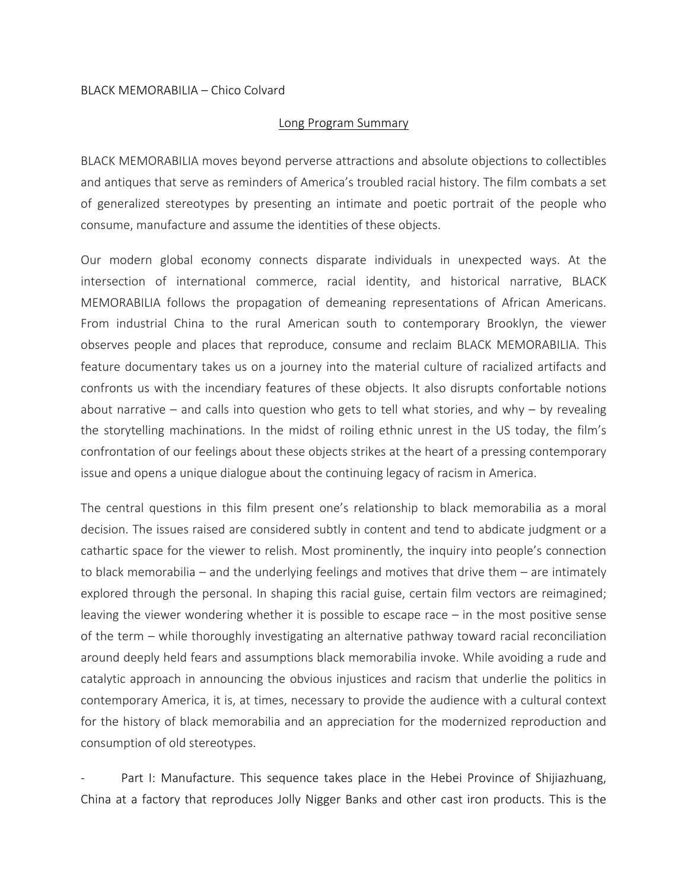## BLACK MEMORABILIA – Chico Colvard

## Long Program Summary

BLACK MEMORABILIA moves beyond perverse attractions and absolute objections to collectibles and antiques that serve as reminders of America's troubled racial history. The film combats a set of generalized stereotypes by presenting an intimate and poetic portrait of the people who consume, manufacture and assume the identities of these objects.

Our modern global economy connects disparate individuals in unexpected ways. At the intersection of international commerce, racial identity, and historical narrative, BLACK MEMORABILIA follows the propagation of demeaning representations of African Americans. From industrial China to the rural American south to contemporary Brooklyn, the viewer observes people and places that reproduce, consume and reclaim BLACK MEMORABILIA. This feature documentary takes us on a journey into the material culture of racialized artifacts and confronts us with the incendiary features of these objects. It also disrupts confortable notions about narrative – and calls into question who gets to tell what stories, and why – by revealing the storytelling machinations. In the midst of roiling ethnic unrest in the US today, the film's confrontation of our feelings about these objects strikes at the heart of a pressing contemporary issue and opens a unique dialogue about the continuing legacy of racism in America.

The central questions in this film present one's relationship to black memorabilia as a moral decision. The issues raised are considered subtly in content and tend to abdicate judgment or a cathartic space for the viewer to relish. Most prominently, the inquiry into people's connection to black memorabilia – and the underlying feelings and motives that drive them – are intimately explored through the personal. In shaping this racial guise, certain film vectors are reimagined; leaving the viewer wondering whether it is possible to escape race – in the most positive sense of the term – while thoroughly investigating an alternative pathway toward racial reconciliation around deeply held fears and assumptions black memorabilia invoke. While avoiding a rude and catalytic approach in announcing the obvious injustices and racism that underlie the politics in contemporary America, it is, at times, necessary to provide the audience with a cultural context for the history of black memorabilia and an appreciation for the modernized reproduction and consumption of old stereotypes.

Part I: Manufacture. This sequence takes place in the Hebei Province of Shijiazhuang, China at a factory that reproduces Jolly Nigger Banks and other cast iron products. This is the